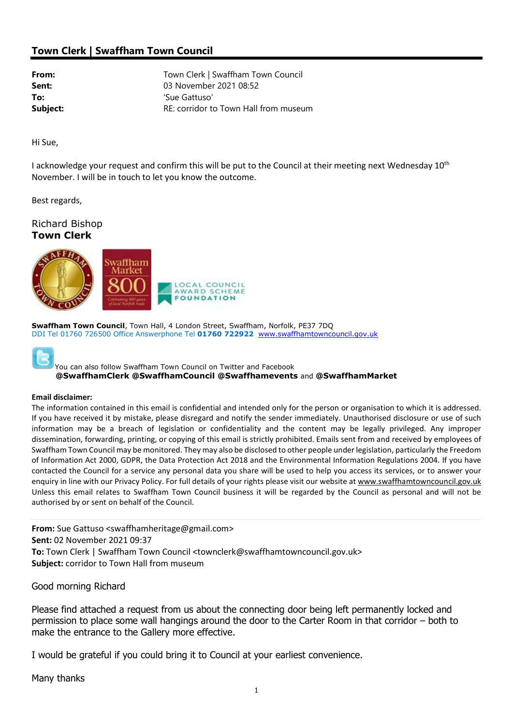## Town Clerk | Swaffham Town Council

**From:** Town Clerk | Swaffham Town Council Sent: 03 November 2021 08:52 To:  $\qquad \qquad$  'Sue Gattuso' **Subject:** RE: corridor to Town Hall from museum

Hi Sue,

I acknowledge your request and confirm this will be put to the Council at their meeting next Wednesday 10<sup>th</sup> November. I will be in touch to let you know the outcome.

Best regards,

Richard Bishop Town Clerk



Swaffham Town Council, Town Hall, 4 London Street, Swaffham, Norfolk, PE37 7DQ DDI Tel 01760 726500 Office Answerphone Tel 01760 722922 www.swaffhamtowncouncil.gov.uk



You can also follow Swaffham Town Council on Twitter and Facebook @SwaffhamClerk @SwaffhamCouncil @Swaffhamevents and @SwaffhamMarket

## Email disclaimer:

The information contained in this email is confidential and intended only for the person or organisation to which it is addressed. If you have received it by mistake, please disregard and notify the sender immediately. Unauthorised disclosure or use of such information may be a breach of legislation or confidentiality and the content may be legally privileged. Any improper dissemination, forwarding, printing, or copying of this email is strictly prohibited. Emails sent from and received by employees of Swaffham Town Council may be monitored. They may also be disclosed to other people under legislation, particularly the Freedom of Information Act 2000, GDPR, the Data Protection Act 2018 and the Environmental Information Regulations 2004. If you have contacted the Council for a service any personal data you share will be used to help you access its services, or to answer your enquiry in line with our Privacy Policy. For full details of your rights please visit our website at www.swaffhamtowncouncil.gov.uk Unless this email relates to Swaffham Town Council business it will be regarded by the Council as personal and will not be authorised by or sent on behalf of the Council.

From: Sue Gattuso <swaffhamheritage@gmail.com> Sent: 02 November 2021 09:37 To: Town Clerk | Swaffham Town Council <townclerk@swaffhamtowncouncil.gov.uk> Subject: corridor to Town Hall from museum

Good morning Richard

Please find attached a request from us about the connecting door being left permanently locked and permission to place some wall hangings around the door to the Carter Room in that corridor – both to make the entrance to the Gallery more effective.

I would be grateful if you could bring it to Council at your earliest convenience.

Many thanks